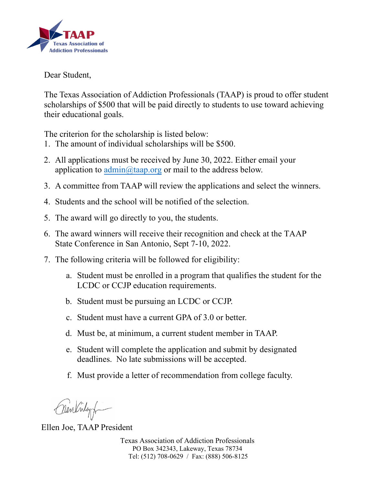

## Dear Student,

The Texas Association of Addiction Professionals (TAAP) is proud to offer student scholarships of \$500 that will be paid directly to students to use toward achieving their educational goals.

The criterion for the scholarship is listed below:

- 1. The amount of individual scholarships will be \$500.
- 2. All applications must be received by June 30, 2022. Either email your application to  $\text{admin}(\hat{\omega} \text{taap.org})$  or mail to the address below.
- 3. A committee from TAAP will review the applications and select the winners.
- 4. Students and the school will be notified of the selection.
- 5. The award will go directly to you, the students.
- 6. The award winners will receive their recognition and check at the TAAP State Conference in San Antonio, Sept 7-10, 2022.
- 7. The following criteria will be followed for eligibility:
	- a. Student must be enrolled in a program that qualifies the student for the LCDC or CCJP education requirements.
	- b. Student must be pursuing an LCDC or CCJP.
	- c. Student must have a current GPA of 3.0 or better.
	- d. Must be, at minimum, a current student member in TAAP.
	- e. Student will complete the application and submit by designated deadlines. No late submissions will be accepted.
	- f. Must provide a letter of recommendation from college faculty.

Crewlinley

Ellen Joe, TAAP President

Texas Association of Addiction Professionals PO Box 342343, Lakeway, Texas 78734 Tel: (512) 708-0629 / Fax: (888) 506-8125